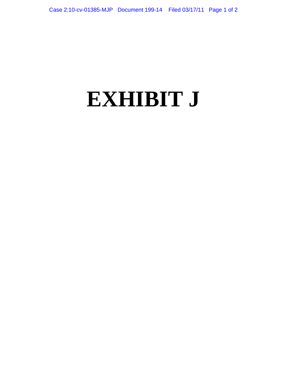## **EXHIBIT J**